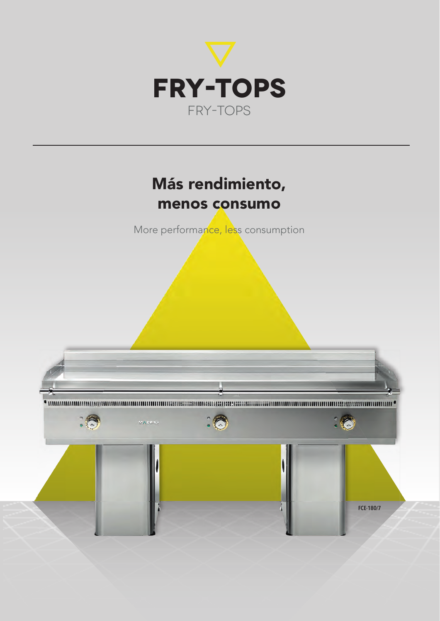

### Más rendimiento, menos consumo

More performance, less consumption

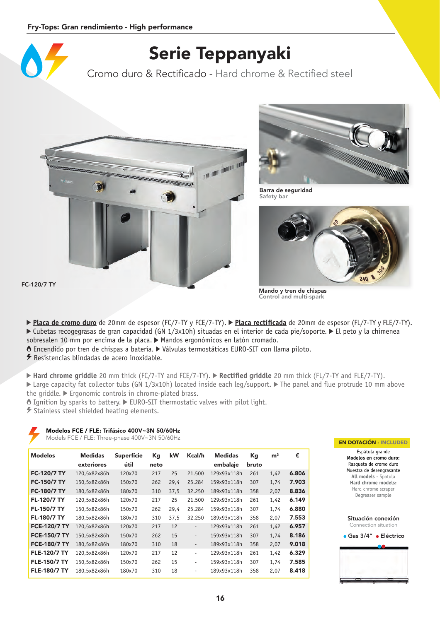

### Serie Teppanyaki

Cromo duro & Rectificado - Hard chrome & Rectified steel





Barra de seguridad Safety bar



Mando y tren de chispas Control and multi-spark

FC-120/7 TY

- **▶ Placa de cromo duro** de 20mm de espesor (FC/7-TY y FCE/7-TY). ▶ Placa rectificada de 20mm de espesor (FL/7-TY y FLE/7-TY). Cubetas recogegrasas de gran capacidad (GN 1/3x10h) situadas en el interior de cada pie/soporte. El peto y la chimenea sobresalen 10 mm por encima de la placa.  $\blacktriangleright$  Mandos ergonómicos en latón cromado.
- Encendido por tren de chispas a batería. Válvulas termostáticas EURO-SIT con llama piloto.

Resistencias blindadas de acero inoxidable.

- ▶ Hard chrome griddle 20 mm thick (FC/7-TY and FCE/7-TY). ▶ Rectified griddle 20 mm thick (FL/7-TY and FLE/7-TY). Earge capacity fat collector tubs (GN 1/3x10h) located inside each leg/support. The panel and flue protrude 10 mm above the griddle.  $\blacktriangleright$  Ergonomic controls in chrome-plated brass.
- $\bullet$  Ignition by sparks to battery.  $\blacktriangleright$  EURO-SIT thermostatic valves with pilot light.

 $\blacktriangleright$  Stainless steel shielded heating elements.

#### Modelos FCE / FLE: Trifásico 400V~3N 50/60Hz

Models FCE / FLE: Three-phase 400V~3N 50/60Hz EN DOTACIÓN - INCLUDED

| <b>Modelos</b>      | <b>Medidas</b><br>exteriores | <b>Superfície</b><br>útil | Kg<br>neto | kW   | Kcal/h                   | <b>Medidas</b><br>embalaje | Kg<br>bruto | m <sup>3</sup> | €     |
|---------------------|------------------------------|---------------------------|------------|------|--------------------------|----------------------------|-------------|----------------|-------|
| <b>FC-120/7 TY</b>  | 120,5x82x86h                 | 120×70                    | 217        | 25   | 21,500                   | 129x93x118h                | 261         | 1,42           | 6.806 |
| <b>FC-150/7 TY</b>  | 150,5x82x86h                 | 150×70                    | 262        | 29,4 | 25.284                   | 159x93x118h                | 307         | 1,74           | 7.903 |
| <b>FC-180/7 TY</b>  | 180,5x82x86h                 | 180×70                    | 310        | 37,5 | 32.250                   | 189x93x118h                | 358         | 2,07           | 8.836 |
| <b>FL-120/7 TY</b>  | 120,5x82x86h                 | 120×70                    | 217        | 25   | 21.500                   | 129x93x118h                | 261         | 1,42           | 6.149 |
| <b>FL-150/7 TY</b>  | 150,5x82x86h                 | 150×70                    | 262        | 29,4 | 25.284                   | 159x93x118h                | 307         | 1,74           | 6.880 |
| <b>FL-180/7 TY</b>  | 180,5x82x86h                 | 180×70                    | 310        | 37.5 | 32.250                   | 189x93x118h                | 358         | 2,07           | 7.553 |
| <b>FCE-120/7 TY</b> | 120,5x82x86h                 | 120×70                    | 217        | 12   | $\overline{\phantom{a}}$ | 129x93x118h                | 261         | 1,42           | 6.957 |
| <b>FCE-150/7 TY</b> | 150,5x82x86h                 | 150×70                    | 262        | 15   | $\overline{\phantom{a}}$ | 159x93x118h                | 307         | 1,74           | 8.186 |
| <b>FCE-180/7 TY</b> | 180.5x82x86h                 | 180×70                    | 310        | 18   | $\overline{\phantom{a}}$ | 189x93x118h                | 358         | 2,07           | 9.018 |
| <b>FLE-120/7 TY</b> | 120,5x82x86h                 | 120×70                    | 217        | 12   | $\overline{\phantom{a}}$ | 129x93x118h                | 261         | 1,42           | 6.329 |
| <b>FLE-150/7 TY</b> | 150,5x82x86h                 | 150×70                    | 262        | 15   | $\overline{\phantom{a}}$ | 159x93x118h                | 307         | 1,74           | 7.585 |
| <b>FLE-180/7 TY</b> | 180,5x82x86h                 | 180×70                    | 310        | 18   | $\overline{\phantom{a}}$ | 189x93x118h                | 358         | 2,07           | 8.418 |



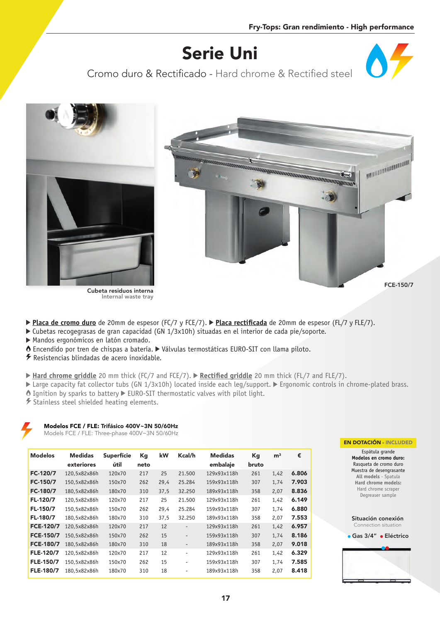# Serie Uni

Cromo duro & Rectificado - Hard chrome & Rectified steel



- **Placa de cromo duro** de 20mm de espesor (FC/7 y FCE/7). **Placa rectificada** de 20mm de espesor (FL/7 y FLE/7).
- Cubetas recogegrasas de gran capacidad (GN 1/3x10h) situadas en el interior de cada pie/soporte.
- Mandos ergonómicos en latón cromado.
- Encendido por tren de chispas a batería. Válvulas termostáticas EURO-SIT con llama piloto.
- $\overline{\mathscr{F}}$  Resistencias blindadas de acero inoxidable.
- ▶ Hard chrome griddle 20 mm thick (FC/7 and FCE/7). ▶ Rectified griddle 20 mm thick (FL/7 and FLE/7).
- Large capacity fat collector tubs (GN 1/3x10h) located inside each leg/support. Ergonomic controls in chrome-plated brass.
- $\bullet$  Ignition by sparks to battery  $\blacktriangleright$  EURO-SIT thermostatic valves with pilot light.
- Stainless steel shielded heating elements.

Models FCE / FLE: Three-phase 400V~3N 50/60Hz

| <b>Modelos</b>   | <b>Medidas</b><br>exteriores | <b>Superfície</b><br>útil | Kg<br>neto | kW   | Kcal/h                   | <b>Medidas</b><br>embalaje | Кg<br>bruto | m <sup>3</sup> | €     |
|------------------|------------------------------|---------------------------|------------|------|--------------------------|----------------------------|-------------|----------------|-------|
| FC-120/7         | 120,5x82x86h                 | 120×70                    | 217        | 25   | 21.500                   | 129x93x118h                | 261         | 1,42           | 6.806 |
| FC-150/7         | 150,5x82x86h                 | 150×70                    | 262        | 29,4 | 25.284                   | 159x93x118h                | 307         | 1,74           | 7.903 |
| FC-180/7         | 180,5x82x86h                 | 180×70                    | 310        | 37,5 | 32.250                   | 189x93x118h                | 358         | 2,07           | 8.836 |
| FL-120/7         | 120,5x82x86h                 | 120×70                    | 217        | 25   | 21.500                   | 129x93x118h                | 261         | 1,42           | 6.149 |
| FL-150/7         | 150,5x82x86h                 | 150×70                    | 262        | 29,4 | 25.284                   | 159x93x118h                | 307         | 1,74           | 6.880 |
| FL-180/7         | 180,5x82x86h                 | 180×70                    | 310        | 37,5 | 32.250                   | 189x93x118h                | 358         | 2,07           | 7.553 |
| <b>FCE-120/7</b> | 120,5x82x86h                 | 120×70                    | 217        | 12   | $\overline{\phantom{a}}$ | 129x93x118h                | 261         | 1,42           | 6.957 |
| <b>FCE-150/7</b> | 150,5x82x86h                 | 150×70                    | 262        | 15   | $\overline{\phantom{a}}$ | 159x93x118h                | 307         | 1,74           | 8.186 |
| <b>FCE-180/7</b> | 180.5x82x86h                 | 180×70                    | 310        | 18   | $\overline{\phantom{a}}$ | 189x93x118h                | 358         | 2,07           | 9.018 |
| <b>FLE-120/7</b> | 120,5x82x86h                 | 120×70                    | 217        | 12   | -                        | 129x93x118h                | 261         | 1,42           | 6.329 |
| FLE-150/7        | 150,5x82x86h                 | 150×70                    | 262        | 15   | $\qquad \qquad -$        | 159x93x118h                | 307         | 1,74           | 7.585 |
| <b>FLE-180/7</b> | 180.5x82x86h                 | 180×70                    | 310        | 18   | $\overline{\phantom{0}}$ | 189x93x118h                | 358         | 2.07           | 8.418 |

#### EN DOTACIÓN - INCLUDED

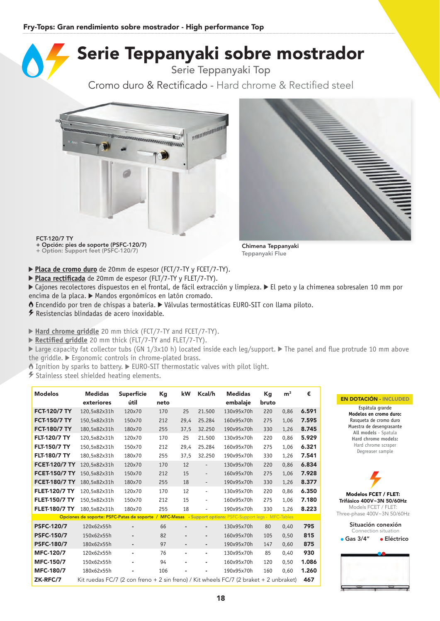### Serie Teppanyaki sobre mostrador

Serie Teppanyaki Top

Cromo duro & Rectificado - Hard chrome & Rectified steel





FCT-120/7 TY

+ Opción: pies de soporte (PSFC-120/7) + Option: Support feet (PSFC-120/7) Chimena Teppanyaki

**Placa de cromo duro** de 20mm de espesor (FCT/7-TY y FCET/7-TY).

Placa rectificada de 20mm de espesor (FLT/7-TY y FLET/7-TY).

► Cajones recolectores dispuestos en el frontal, de fácil extracción y limpieza. ► El peto y la chimenea sobresalen 10 mm por encima de la placa.  $\blacktriangleright$  Mandos ergonómicos en latón cromado.

Teppanyaki Flue

Encendido por tren de chispas a batería. Válvulas termostáticas EURO-SIT con llama piloto.

 $\overline{\mathscr{F}}$  Resistencias blindadas de acero inoxidable.

▶ Hard chrome griddle 20 mm thick (FCT/7-TY and FCET/7-TY).

▶ Rectified griddle 20 mm thick (FLT/7-TY and FLET/7-TY).

Earge capacity fat collector tubs (GN 1/3x10 h) located inside each leg/support. The panel and flue protrude 10 mm above the griddle.  $\blacktriangleright$  Ergonomic controls in chrome-plated brass.

 $\delta$  Ignition by sparks to battery.  $\blacktriangleright$  EURO-SIT thermostatic valves with pilot light.

Stainless steel shielded heating elements.

| <b>Modelos</b>       | <b>Medidas</b><br>exteriores                                                                             | <b>Superfície</b><br>útil | Кg<br>neto | kW             | Kcal/h                   | <b>Medidas</b><br>embalaje | Кg<br>bruto | m <sup>3</sup> | €     |
|----------------------|----------------------------------------------------------------------------------------------------------|---------------------------|------------|----------------|--------------------------|----------------------------|-------------|----------------|-------|
| <b>FCT-120/7 TY</b>  | 120,5x82x31h                                                                                             | 120×70                    | 170        | 25             | 21.500                   | 130x95x70h                 | 220         | 0.86           | 6.591 |
| <b>FCT-150/7 TY</b>  | 150,5x82x31h                                                                                             | 150×70                    | 212        | 29,4           | 25.284                   | 160x95x70h                 | 275         | 1,06           | 7.595 |
| <b>FCT-180/7 TY</b>  | 180.5x82x31h                                                                                             | 180×70                    | 255        | 37,5           | 32.250                   | 190x95x70h                 | 330         | 1,26           | 8.745 |
| <b>FLT-120/7 TY</b>  | 120,5x82x31h                                                                                             | 120×70                    | 170        | 25             | 21.500                   | 130x95x70h                 | 220         | 0,86           | 5.929 |
| <b>FLT-150/7 TY</b>  | 150,5x82x31h                                                                                             | 150×70                    | 212        | 29.4           | 25.284                   | 160x95x70h                 | 275         | 1.06           | 6.321 |
| <b>FLT-180/7 TY</b>  | 180.5x82x31h                                                                                             | 180×70                    | 255        | 37,5           | 32.250                   | 190x95x70h                 | 330         | 1,26           | 7.541 |
| <b>FCET-120/7 TY</b> | 120,5x82x31h                                                                                             | 120×70                    | 170        | 12             | $\overline{\phantom{a}}$ | 130x95x70h                 | 220         | 0.86           | 6.834 |
| <b>FCET-150/7 TY</b> | 150,5x82x31h                                                                                             | 150×70                    | 212        | 15             | $\overline{\phantom{a}}$ | 160x95x70h                 | 275         | 1,06           | 7.928 |
| <b>FCET-180/7 TY</b> | 180.5x82x31h                                                                                             | 180×70                    | 255        | 18             | $\overline{\phantom{a}}$ | 190x95x70h                 | 330         | 1,26           | 8.377 |
| <b>FLET-120/7 TY</b> | 120,5x82x31h                                                                                             | 120×70                    | 170        | 12             | $\overline{\phantom{a}}$ | 130x95x70h                 | 220         | 0.86           | 6.350 |
| <b>FLET-150/7 TY</b> | 150,5x82x31h                                                                                             | 150×70                    | 212        | 15             | $\overline{\phantom{a}}$ | 160x95x70h                 | 275         | 1.06           | 7.180 |
| <b>FLET-180/7 TY</b> | 180.5x82x31h                                                                                             | 180×70                    | 255        | 18             |                          | 190x95x70h                 | 330         | 1,26           | 8.223 |
|                      | Opciones de soporte: PSFC-Patas de soporte / MFC-Mesas - Support options: PSFC-Support legs - MFC-Tables |                           |            |                |                          |                            |             |                |       |
| <b>PSFC-120/7</b>    | 120x62x55h                                                                                               | ٠                         | 66         |                | ٠                        | 130x95x70h                 | 80          | 0,40           | 795   |
| <b>PSFC-150/7</b>    | 150x62x55h                                                                                               | ٠                         | 82         | ٠              | ٠                        | 160x95x70h                 | 105         | 0,50           | 815   |
| <b>PSFC-180/7</b>    | 180x62x55h                                                                                               | ٠                         | 97         | $\blacksquare$ | ٠                        | 190x95x70h                 | 147         | 0,60           | 875   |
| <b>MFC-120/7</b>     | 120x62x55h                                                                                               | ٠                         | 76         | ٠              | ٠                        | 130x95x70h                 | 85          | 0,40           | 930   |
| <b>MFC-150/7</b>     | 150x62x55h                                                                                               | ٠                         | 94         |                | ٠                        | 160x95x70h                 | 120         | 0,50           | 1.086 |
| <b>MFC-180/7</b>     | 180x62x55h                                                                                               |                           | 106        |                |                          | 190x95x70h                 | 160         | 0,60           | 1.260 |
| ZK-RFC/7             | Kit ruedas FC/7 (2 con freno + 2 sin freno) / Kit wheels FC/7 (2 braket + 2 unbraket)                    |                           |            |                |                          |                            |             |                | 467   |

#### EN DOTACIÓN - INCLUDED

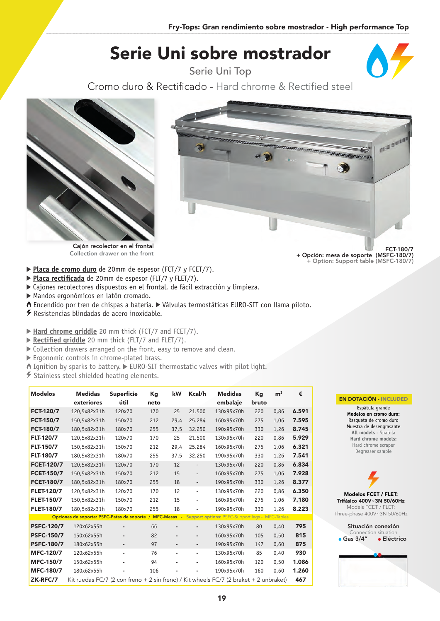# Serie Uni sobre mostrador

Serie Uni Top



Cromo duro & Rectificado - Hard chrome & Rectified steel





**Placa de cromo duro** de 20mm de espesor (FCT/7 y FCET/7).

- ▶ Placa rectificada de 20mm de espesor (FLT/7 y FLET/7).
- Cajones recolectores dispuestos en el frontal, de fácil extracción y limpieza.
- Mandos ergonómicos en latón cromado.
- Encendido por tren de chispas a batería. Válvulas termostáticas EURO-SIT con llama piloto.
- Resistencias blindadas de acero inoxidable.

▶ Hard chrome griddle 20 mm thick (FCT/7 and FCET/7).

▶ Rectified griddle 20 mm thick (FLT/7 and FLET/7).

- Collection drawers arranged on the front, easy to remove and clean.
- Ergonomic controls in chrome-plated brass.
- $\bullet$  Ignition by sparks to battery.  $\blacktriangleright$  EURO-SIT thermostatic valves with pilot light.
- Stainless steel shielded heating elements.

| <b>Modelos</b>    | <b>Medidas</b><br>exteriores                                                          | <b>Superfície</b><br>útil | Кg<br>neto | kW             | Kcal/h                   | <b>Medidas</b><br>embalaje                      | Kg<br>bruto | m <sup>3</sup> | €     |
|-------------------|---------------------------------------------------------------------------------------|---------------------------|------------|----------------|--------------------------|-------------------------------------------------|-------------|----------------|-------|
| <b>FCT-120/7</b>  | 120,5x82x31h                                                                          | 120×70                    | 170        | 25             | 21.500                   | 130x95x70h                                      | 220         | 0,86           | 6.591 |
| <b>FCT-150/7</b>  | 150,5x82x31h                                                                          | 150×70                    | 212        | 29,4           | 25.284                   | 160x95x70h                                      | 275         | 1,06           | 7.595 |
| <b>FCT-180/7</b>  | 180,5x82x31h                                                                          | 180×70                    | 255        | 37,5           | 32.250                   | 190x95x70h                                      | 330         | 1,26           | 8.745 |
| <b>FLT-120/7</b>  | 120,5x82x31h                                                                          | 120×70                    | 170        | 25             | 21.500                   | 130x95x70h                                      | 220         | 0,86           | 5.929 |
| <b>FLT-150/7</b>  | 150,5x82x31h                                                                          | 150×70                    | 212        | 29,4           | 25.284                   | 160x95x70h                                      | 275         | 1,06           | 6.321 |
| <b>FLT-180/7</b>  | 180.5x82x31h                                                                          | 180×70                    | 255        | 37,5           | 32.250                   | 190x95x70h                                      | 330         | 1,26           | 7.541 |
| <b>FCET-120/7</b> | 120,5x82x31h                                                                          | 120×70                    | 170        | 12             | $\overline{\phantom{a}}$ | 130x95x70h                                      | 220         | 0,86           | 6.834 |
| <b>FCET-150/7</b> | 150,5x82x31h                                                                          | 150×70                    | 212        | 15             | $\overline{\phantom{a}}$ | 160x95x70h                                      | 275         | 1,06           | 7.928 |
| <b>FCET-180/7</b> | 180,5x82x31h                                                                          | 180×70                    | 255        | 18             | $\overline{\phantom{a}}$ | 190x95x70h                                      | 330         | 1,26           | 8.377 |
| <b>FLET-120/7</b> | 120,5x82x31h                                                                          | 120×70                    | 170        | 12             | $\overline{\phantom{a}}$ | 130x95x70h                                      | 220         | 0,86           | 6.350 |
| <b>FLET-150/7</b> | 150,5x82x31h                                                                          | 150×70                    | 212        | 15             | $\overline{\phantom{a}}$ | 160x95x70h                                      | 275         | 1.06           | 7.180 |
| <b>FLET-180/7</b> | 180.5x82x31h                                                                          | 180×70                    | 255        | 18             |                          | 190x95x70h                                      | 330         | 1,26           | 8.223 |
|                   | Opciones de soporte: PSFC-Patas de soporte / MFC-Mesas -                              |                           |            |                |                          | Support options: PSFC-Support legs - MFC-Tables |             |                |       |
| <b>PSFC-120/7</b> | 120x62x55h                                                                            | ٠                         | 66         | $\blacksquare$ |                          | 130x95x70h                                      | 80          | 0.40           | 795   |
| <b>PSFC-150/7</b> | 150x62x55h                                                                            | ٠                         | 82         | $\blacksquare$ | $\blacksquare$           | 160x95x70h                                      | 105         | 0,50           | 815   |
| <b>PSFC-180/7</b> | 180x62x55h                                                                            | ٠                         | 97         | $\blacksquare$ | ٠                        | 190x95x70h                                      | 147         | 0,60           | 875   |
| <b>MFC-120/7</b>  | 120x62x55h                                                                            | ÷.                        | 76         | ٠              | ٠                        | 130x95x70h                                      | 85          | 0,40           | 930   |
| <b>MFC-150/7</b>  | 150x62x55h                                                                            | ٠                         | 94         | ٠              | ٠                        | 160x95x70h                                      | 120         | 0,50           | 1.086 |
| <b>MFC-180/7</b>  | 180x62x55h                                                                            |                           | 106        |                |                          | 190x95x70h                                      | 160         | 0,60           | 1.260 |
| ZK-RFC/7          | Kit ruedas FC/7 (2 con freno + 2 sin freno) / Kit wheels FC/7 (2 braket + 2 unbraket) |                           |            |                |                          |                                                 |             |                | 467   |

**INTERNATIONAL REGION** € West

> FCT-180/7 + Opción: mesa de soporte (MSFC-180/7) + Option: Support table (MSFC-180/7)

#### EN DOTACIÓN - INCLUDED



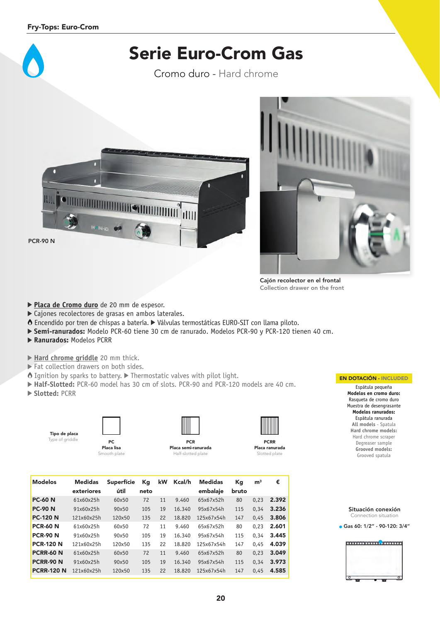

Cromo duro - Hard chrome





Cajón recolector en el frontal Collection drawer on the front

- **Placa de Cromo duro** de 20 mm de espesor.
- Cajones recolectores de grasas en ambos laterales.
- Encendido por tren de chispas a batería. Válvulas termostáticas EURO-SIT con llama piloto.
- **Semi-ranurados:** Modelo PCR-60 tiene 30 cm de ranurado. Modelos PCR-90 y PCR-120 tienen 40 cm.
- **Ranurados:** Modelos PCRR

**Hard chrome griddle** 20 mm thick.

- Fat collection drawers on both sides.
- $\bullet$  Ignition by sparks to battery.  $\triangleright$  Thermostatic valves with pilot light.
- **Half-Slotted:** PCR-60 model has 30 cm of slots. PCR-90 and PCR-120 models are 40 cm.
- **Slotted:** PCRR

| Tipo de placa   |  |
|-----------------|--|
| Type of griddle |  |





Placa semi-ranurada Half-slotted plate



Placa ranurada Slotted plate

| <b>Modelos</b>    | <b>Medidas</b><br>exteriores | <b>Superfície</b><br>útil | Кq<br>neto | kW | Kcal/h | Medidas<br>embalaje | Кg<br>bruto | m <sup>3</sup> | €     |
|-------------------|------------------------------|---------------------------|------------|----|--------|---------------------|-------------|----------------|-------|
| <b>PC-60 N</b>    | 61x60x25h                    | 60x50                     | 72         | 11 | 9.460  | 65x67x52h           | 80          | 0.23           | 2.392 |
| <b>PC-90 N</b>    | 91x60x25h                    | 90x50                     | 105        | 19 | 16.340 | 95x67x54h           | 115         | 0.34           | 3.236 |
| <b>PC-120 N</b>   | 121x60x25h                   | 120×50                    | 135        | 22 | 18,820 | 125x67x54h          | 147         | 0.45           | 3.806 |
| <b>PCR-60 N</b>   | 61x60x25h                    | 60x50                     | 72         | 11 | 9.460  | 65x67x52h           | 80          | 0.23           | 2.601 |
| <b>PCR-90 N</b>   | 91x60x25h                    | 90×50                     | 105        | 19 | 16.340 | 95x67x54h           | 115         | 0.34           | 3.445 |
| <b>PCR-120 N</b>  | 121x60x25h                   | 120×50                    | 135        | 22 | 18,820 | 125x67x54h          | 147         | 0.45           | 4.039 |
| <b>PCRR-60 N</b>  | 61x60x25h                    | 60x50                     | 72         | 11 | 9.460  | 65x67x52h           | 80          | 0.23           | 3.049 |
| <b>PCRR-90 N</b>  | 91x60x25h                    | 90×50                     | 105        | 19 | 16.340 | 95x67x54h           | 115         | 0.34           | 3.973 |
| <b>PCRR-120 N</b> | 121x60x25h                   | 120×50                    | 135        | 22 | 18,820 | 125x67x54h          | 147         | 0.45           | 4.585 |
|                   |                              |                           |            |    |        |                     |             |                |       |

#### EN DOTACIÓN - INCLUDED

Espátula pequeña **Modelos en cromo duro:** Rasqueta de cromo duro Muestra de desengrasante **Modelos ranurados:** Espátula ranurada **All models** - Spatula **Hard chrome models:** Hard chrome scraper Degreaser sample **Grooved models:** Grooved spatula

Situación conexión Connection situation

Gas 60: 1/2" - 90-120: 3/4''

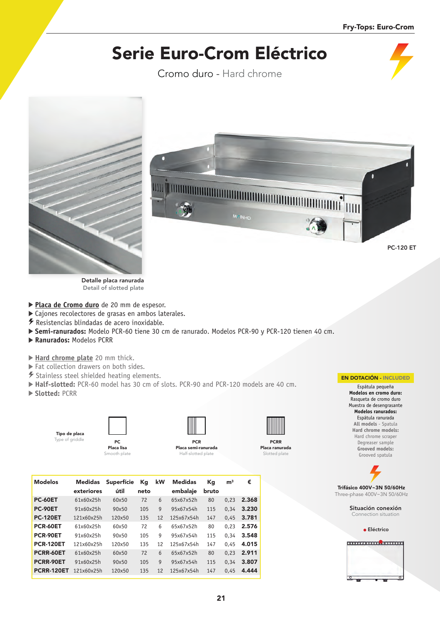# Serie Euro-Crom Eléctrico

Cromo duro - Hard chrome



Detalle placa ranurada Detail of slotted plate

- **Placa de Cromo duro** de 20 mm de espesor.
- Cajones recolectores de grasas en ambos laterales.
- Resistencias blindadas de acero inoxidable.
- **Semi-ranurados:** Modelo PCR-60 tiene 30 cm de ranurado. Modelos PCR-90 y PCR-120 tienen 40 cm.
- **Ranurados:** Modelos PCRR

**Hard chrome plate** 20 mm thick.

- Fat collection drawers on both sides.
- Stainless steel shielded heating elements.
- **Half-slotted:** PCR-60 model has 30 cm of slots. PCR-90 and PCR-120 models are 40 cm.
- **Slotted:** PCRR



Placa lisa mooth plate



Placa semi-ranurada Half-slotted plate



Placa ranurada Slotted plate

| <b>Modelos</b>    | <b>Medidas</b><br>exteriores | <b>Superfície</b><br>útil | Кq<br>neto | kW | <b>Medidas</b><br>embalaje | Кq<br>bruto | m <sup>3</sup> | €     |
|-------------------|------------------------------|---------------------------|------------|----|----------------------------|-------------|----------------|-------|
| <b>PC-60ET</b>    | 61x60x25h                    | 60x50                     | 72         | 6  | 65x67x52h                  | 80          | 0.23           | 2.368 |
| <b>PC-90ET</b>    | 91x60x25h                    | 90×50                     | 105        | g  | 95x67x54h                  | 115         | 0.34           | 3.230 |
| <b>PC-120ET</b>   | 121x60x25h                   | 120×50                    | 135        | 12 | 125x67x54h                 | 147         | 0.45           | 3.781 |
| <b>PCR-60ET</b>   | 61x60x25h                    | 60×50                     | 72         | 6  | 65x67x52h                  | 80          | 0.23           | 2.576 |
| <b>PCR-90ET</b>   | 91x60x25h                    | 90x50                     | 105        | g  | 95x67x54h                  | 115         | 0.34           | 3.548 |
| <b>PCR-120ET</b>  | 121x60x25h                   | 120×50                    | 135        | 12 | 125x67x54h                 | 147         | 0.45           | 4.015 |
| PCRR-60ET         | 61x60x25h                    | 60×50                     | 72         | 6  | 65x67x52h                  | 80          | 0.23           | 2.911 |
| <b>PCRR-90ET</b>  | 91x60x25h                    | 90×50                     | 105        | g  | 95x67x54h                  | 115         | 0.34           | 3.807 |
| <b>PCRR-120ET</b> | 121x60x25h                   | 120×50                    | 135        | 12 | 125x67x54h                 | 147         | 0.45           | 4.444 |

### EN DOTACIÓN - INCLUDED

Espátula pequeña **Modelos en cromo duro:** Rasqueta de cromo duro Muestra de desengrasante **Modelos ranurados:** Espátula ranurada **All models** - Spatula **Hard chrome models:** Hard chrome scraper Degreaser sample **Grooved models:** Grooved spatula



Situación conexión Connection situation

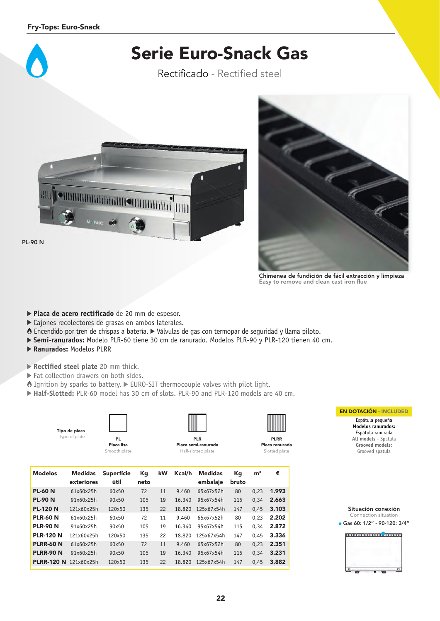

Rectificado - Rectified steel





Chimenea de fundición de fácil extracción y limpieza Easy to remove and clean cast iron flue

- Placa de acero rectificado de 20 mm de espesor.
- Cajones recolectores de grasas en ambos laterales.
- Encendido por tren de chispas a batería. Válvulas de gas con termopar de seguridad y llama piloto.
- **Semi-ranurados:** Modelo PLR-60 tiene 30 cm de ranurado. Modelos PLR-90 y PLR-120 tienen 40 cm.
- **Ranurados:** Modelos PLRR
- **Rectified steel plate** 20 mm thick.
- Fat collection drawers on both sides.
- $\bullet$  Ignition by sparks to battery.  $\triangleright$  EURO-SIT thermocouple valves with pilot light.
- **Half-Slotted:** PLR-60 model has 30 cm of slots. PLR-90 and PLR-120 models are 40 cm.

|                       | Tipo de placa<br>Type of plate | PL.<br>Placa lisa<br>Smooth plate |            |    |        | <b>PLR</b><br>Placa semi-ranurada<br>Half-slotted plate |             |                | <b>PLRR</b><br>Placa ranurada<br>Slotted plate |
|-----------------------|--------------------------------|-----------------------------------|------------|----|--------|---------------------------------------------------------|-------------|----------------|------------------------------------------------|
| <b>Modelos</b>        | <b>Medidas</b><br>exteriores   | <b>Superfície</b><br>útil         | Kg<br>neto | kW | Kcal/h | <b>Medidas</b><br>embalaje                              | Кg<br>bruto | m <sup>3</sup> | €                                              |
| <b>PL-60 N</b>        | 61x60x25h                      | 60x50                             | 72         | 11 | 9.460  | 65x67x52h                                               | 80          | 0,23           | 1.993                                          |
| <b>PL-90 N</b>        | 91x60x25h                      | 90x50                             | 105        | 19 | 16.340 | 95x67x54h                                               | 115         | 0,34           | 2.663                                          |
| <b>PL-120 N</b>       | 121x60x25h                     | 120×50                            | 135        | 22 | 18.820 | 125x67x54h                                              | 147         | 0,45           | 3.103                                          |
| <b>PLR-60 N</b>       | 61x60x25h                      | 60x50                             | 72         | 11 | 9.460  | 65x67x52h                                               | 80          | 0,23           | 2.202                                          |
| <b>PLR-90 N</b>       | 91x60x25h                      | 90x50                             | 105        | 19 | 16.340 | 95x67x54h                                               | 115         | 0,34           | 2.872                                          |
| <b>PLR-120 N</b>      | 121x60x25h                     | 120×50                            | 135        | 22 | 18.820 | 125x67x54h                                              | 147         | 0.45           | 3.336                                          |
| <b>PLRR-60 N</b>      | 61x60x25h                      | 60x50                             | 72         | 11 | 9.460  | 65x67x52h                                               | 80          | 0,23           | 2.351                                          |
| <b>PLRR-90 N</b>      | 91x60x25h                      | 90x50                             | 105        | 19 | 16.340 | 95x67x54h                                               | 115         | 0,34           | 3.231                                          |
| PLRR-120 N 121x60x25h |                                | 120×50                            | 135        | 22 | 18,820 | 125x67x54h                                              | 147         | 0,45           | 3.882                                          |
|                       |                                |                                   |            |    |        |                                                         |             |                |                                                |



Espátula pequeña **Modelos ranurados:** Espátula ranurada **All models** - Spatula **Grooved models:** Grooved spatula

| Situación conexión            |
|-------------------------------|
| Connection situation          |
| Gas 60: 1/2" - 90-120: 3/4" ( |

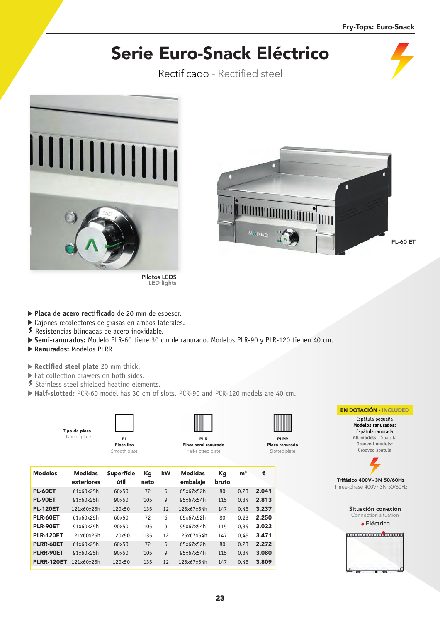# Serie Euro-Snack Eléctrico

Rectificado - Rectified steel



PL-60 ET

- Placa de acero rectificado de 20 mm de espesor.
- ▶ Cajones recolectores de grasas en ambos laterales.
- $\overline{\mathscr{F}}$  Resistencias blindadas de acero inoxidable.
- **Semi-ranurados:** Modelo PLR-60 tiene 30 cm de ranurado. Modelos PLR-90 y PLR-120 tienen 40 cm.
- **Ranurados:** Modelos PLRR

Tipo de Type of

- **Rectified steel plate** 20 mm thick.
- Fat collection drawers on both sides.
- Stainless steel shielded heating elements.
- **Half-slotted:** PCR-60 model has 30 cm of slots. PCR-90 and PCR-120 models are 40 cm.

Pilotos LEDS LED lights

| placa<br>plate |              |                     |           |
|----------------|--------------|---------------------|-----------|
|                | PL           | <b>PLR</b>          | <b>PL</b> |
|                | Placa lisa   | Placa semi-ranurada | Placa ra  |
|                | Smooth plate | Half-slotted plate  | Slotte    |

| <b>Modelos</b>    | <b>Medidas</b><br>exteriores | <b>Superfície</b><br>útil | Кq<br>neto | kW | <b>Medidas</b><br>embalaje | Кq<br>bruto | m <sup>3</sup> | €     |
|-------------------|------------------------------|---------------------------|------------|----|----------------------------|-------------|----------------|-------|
| <b>PL-60ET</b>    | 61x60x25h                    | 60×50                     | 72         | 6  | 65x67x52h                  | 80          | 0.23           | 2.041 |
| <b>PL-90ET</b>    | 91x60x25h                    | 90×50                     | 105        | 9  | 95x67x54h                  | 115         | 0.34           | 2.813 |
| <b>PL-120ET</b>   | 121x60x25h                   | 120×50                    | 135        | 12 | 125x67x54h                 | 147         | 0.45           | 3.237 |
| <b>PLR-60ET</b>   | 61x60x25h                    | 60×50                     | 72         | 6  | 65x67x52h                  | 80          | 0.23           | 2.250 |
| PLR-90ET          | 91x60x25h                    | 90×50                     | 105        | 9  | 95x67x54h                  | 115         | 0.34           | 3.022 |
| <b>PLR-120ET</b>  | 121x60x25h                   | 120×50                    | 135        | 12 | 125x67x54h                 | 147         | 0.45           | 3.471 |
| PLRR-60ET         | 61x60x25h                    | 60×50                     | 72         | 6  | 65x67x52h                  | 80          | 0.23           | 2.272 |
| <b>PLRR-90ET</b>  | 91x60x25h                    | 90×50                     | 105        | 9  | 95x67x54h                  | 115         | 0.34           | 3.080 |
| <b>PLRR-120ET</b> | 121x60x25h                   | 120×50                    | 135        | 12 | 125x67x54h                 | 147         | 0.45           | 3.809 |



RR. anurada d plate



EN DOTACIÓN - INCLUDED Espátula pequeña **Modelos ranurados:** Espátula ranurada **All models** - Spatula

Trifásico 400V~3N 50/60Hz Three-phase 400V~3N 50/60Hz



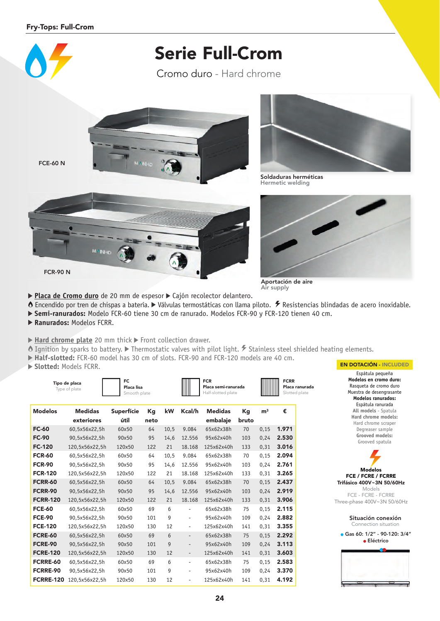

- 
- Encendido por tren de chispas a batería. Válvulas termostáticas con llama piloto. Resistencias blindadas de acero inoxidable.
- **Semi-ranurados:** Modelo FCR-60 tiene 30 cm de ranurado. Modelos FCR-90 y FCR-120 tienen 40 cm.
- **Ranurados:** Modelos FCRR.
- ▶ Hard chrome plate 20 mm thick ▶ Front collection drawer.
- $\bullet$  Ignition by sparks to battery.  $\triangleright$  Thermostatic valves with pilot light.  $\sharp$  Stainless steel shielded heating elements.
- **Half-slotted:** FCR-60 model has 30 cm of slots. FCR-90 and FCR-120 models are 40 cm.
- **Slotted:** Models FCRR.

|                  | Tipo de placa<br>Type of plate | FC.<br>Placa lisa<br>Smooth plate |            |      |                          | <b>FCR</b><br>Placa semi-ranurada<br>Half-slotted plate |             |                | <b>FCRR</b><br>Placa ranurada<br>Slotted plate |
|------------------|--------------------------------|-----------------------------------|------------|------|--------------------------|---------------------------------------------------------|-------------|----------------|------------------------------------------------|
| <b>Modelos</b>   | <b>Medidas</b><br>exteriores   | <b>Superfície</b><br>útil         | Кq<br>neto | kW   | Kcal/h                   | <b>Medidas</b><br>embalaje                              | Kg<br>bruto | m <sup>3</sup> | €                                              |
| <b>FC-60</b>     | 60,5x56x22,5h                  | 60x50                             | 64         | 10,5 | 9.084                    | 65x62x38h                                               | 70          | 0,15           | 1.971                                          |
| <b>FC-90</b>     | 90,5x56x22,5h                  | 90x50                             | 95         | 14,6 | 12.556                   | 95x62x40h                                               | 103         | 0,24           | 2.530                                          |
| <b>FC-120</b>    | 120,5x56x22,5h                 | 120×50                            | 122        | 21   | 18.168                   | 125x62x40h                                              | 133         | 0,31           | 3.016                                          |
| <b>FCR-60</b>    | 60,5x56x22,5h                  | 60x50                             | 64         | 10,5 | 9.084                    | 65x62x38h                                               | 70          | 0.15           | 2.094                                          |
| <b>FCR-90</b>    | 90,5x56x22,5h                  | 90x50                             | 95         | 14,6 | 12.556                   | 95x62x40h                                               | 103         | 0,24           | 2.761                                          |
| <b>FCR-120</b>   | 120,5x56x22,5h                 | 120×50                            | 122        | 21   | 18.168                   | 125x62x40h                                              | 133         | 0,31           | 3.265                                          |
| <b>FCRR-60</b>   | 60,5x56x22,5h                  | 60x50                             | 64         | 10,5 | 9.084                    | 65x62x38h                                               | 70          | 0,15           | 2.437                                          |
| <b>FCRR-90</b>   | 90.5x56x22.5h                  | 90x50                             | 95         | 14,6 | 12.556                   | 95x62x40h                                               | 103         | 0.24           | 2.919                                          |
| <b>FCRR-120</b>  | 120,5x56x22,5h                 | 120×50                            | 122        | 21   | 18.168                   | 125x62x40h                                              | 133         | 0.31           | 3.906                                          |
| <b>FCE-60</b>    | 60,5x56x22,5h                  | 60x50                             | 69         | 6    | $\overline{\phantom{a}}$ | 65x62x38h                                               | 75          | 0.15           | 2.115                                          |
| <b>FCE-90</b>    | 90,5x56x22,5h                  | 90x50                             | 101        | 9    | $\overline{\phantom{a}}$ | 95x62x40h                                               | 109         | 0,24           | 2.882                                          |
| <b>FCE-120</b>   | 120,5x56x22,5h                 | 120×50                            | 130        | 12   | $\overline{\phantom{a}}$ | 125x62x40h                                              | 141         | 0.31           | 3.355                                          |
| <b>FCRE-60</b>   | 60.5x56x22.5h                  | 60x50                             | 69         | 6    | $\overline{\phantom{a}}$ | 65x62x38h                                               | 75          | 0.15           | 2.292                                          |
| <b>FCRE-90</b>   | 90.5x56x22.5h                  | 90x50                             | 101        | 9    | $\qquad \qquad -$        | 95x62x40h                                               | 109         | 0.24           | 3.113                                          |
| <b>FCRE-120</b>  | 120,5x56x22,5h                 | 120×50                            | 130        | 12   | $\overline{\phantom{a}}$ | 125x62x40h                                              | 141         | 0,31           | 3.603                                          |
| <b>FCRRE-60</b>  | 60,5x56x22,5h                  | 60x50                             | 69         | 6    | $\overline{\phantom{a}}$ | 65x62x38h                                               | 75          | 0,15           | 2.583                                          |
| FCRRE-90         | 90,5x56x22,5h                  | 90x50                             | 101        | 9    | $\overline{\phantom{a}}$ | 95x62x40h                                               | 109         | 0,24           | 3.370                                          |
| <b>FCRRE-120</b> | 120,5x56x22,5h                 | 120×50                            | 130        | 12   | $\overline{\phantom{a}}$ | 125x62x40h                                              | 141         | 0,31           | 4.192                                          |



Espátula pequeña **Modelos en cromo duro:** Rasqueta de cromo duro Muestra de desengrasante **Modelos ranurados:** Espátula ranurada **All models** - Spatula **Hard chrome models:** Hard chrome scraper Degreaser sample **Grooved models:** Grooved spatula

Modelos FCE / FCRE / FCRRE Trifásico 400V~3N 50/60Hz Models FCE - FCRE - FCRRE Three-phase 400V~3N 50/60Hz



**e** Eléctrico

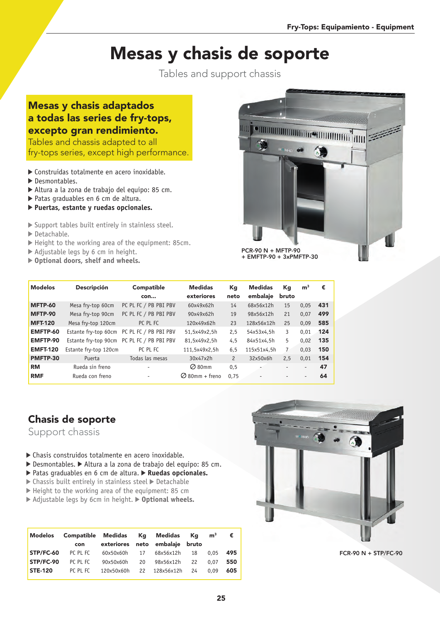# Mesas y chasis de soporte

Tables and support chassis

### Mesas y chasis adaptados a todas las series de fry-tops, excepto gran rendimiento.

Tables and chassis adapted to all fry-tops series, except high performance.

- Construidas totalmente en acero inoxidable.
- Desmontables.
- Altura a la zona de trabajo del equipo: 85 cm.
- Patas graduables en 6 cm de altura.
- **Puertas, estante y ruedas opcionales.**
- Support tables built entirely in stainless steel.
- Detachable.
- Height to the working area of the equipment: 85cm.
- Adjustable legs by 6 cm in height.
- **Optional doors, shelf and wheels.**



| <b>Modelos</b>  | <b>Descripción</b>    | Compatible<br>con                          | <b>Medidas</b><br>exteriores | Кg<br>neto     | <b>Medidas</b><br>embalaje | Kg<br>bruto    | m <sup>3</sup>           | €   |
|-----------------|-----------------------|--------------------------------------------|------------------------------|----------------|----------------------------|----------------|--------------------------|-----|
| <b>MFTP-60</b>  | Mesa fry-top 60cm     | PC PL FC / PB PBI PBV                      | 60x49x62h                    | 14             | 68x56x12h                  | 15             | 0.05                     | 431 |
| MFTP-90         | Mesa fry-top 90cm     | PC PL FC / PB PBI PBV                      | 90x49x62h                    | 19             | 98x56x12h                  | 21             | 0.07                     | 499 |
| <b>MFT-120</b>  | Mesa fry-top 120cm    | PC PL FC                                   | 120x49x62h                   | 23             | 128x56x12h                 | 25             | 0.09                     | 585 |
| EMFTP-60        | Estante fry-top 60cm  | PC PL FC / PB PBI PBV                      | 51,5x49x2,5h                 | 2,5            | 54x53x4,5h                 | 3              | 0.01                     | 124 |
| <b>EMFTP-90</b> |                       | Estante fry-top 90cm PC PL FC / PB PBI PBV | 81,5x49x2,5h                 | 4,5            | 84x51x4.5h                 | 5              | 0.02                     | 135 |
| <b>EMFT-120</b> | Estante fry-top 120cm | PC PL FC                                   | 111,5x49x2,5h                | 6, 5           | 115x51x4.5h                | $\overline{7}$ | 0.03                     | 150 |
| PMFTP-30        | Puerta                | Todas las mesas                            | 30x47x2h                     | $\overline{c}$ | 32x50x6h                   | 2,5            | 0.01                     | 154 |
| <b>RM</b>       | Rueda sin freno       |                                            | $\oslash$ 80mm               | 0,5            |                            |                | $\overline{\phantom{a}}$ | 47  |
| <b>RMF</b>      | Rueda con freno       |                                            | $\oslash$ 80mm + freno       | 0.75           |                            |                | $\overline{\phantom{a}}$ | 64  |

### Chasis de soporte

Support chassis

- Chasis construidos totalmente en acero inoxidable.
- ▶ Desmontables. ▶ Altura a la zona de trabajo del equipo: 85 cm.
- ▶ Patas graduables en 6 cm de altura. ▶ Ruedas opcionales.
- $\triangleright$  Chassis built entirely in stainless steel  $\triangleright$  Detachable
- ▶ Height to the working area of the equipment: 85 cm
- ▶ Adjustable legs by 6cm in height. ▶ Optional wheels.

| Modelos        | Compatible Medidas Kg Medidas<br>con |            |    | exteriores neto embalaje bruto | Ka | m <sup>3</sup> | €   |
|----------------|--------------------------------------|------------|----|--------------------------------|----|----------------|-----|
| STP/FC-60      | PC PL FC                             | 60x50x60h  | 17 | 68x56x12h                      | 18 | 0.05           | 495 |
| STP/FC-90      | PC PL FC                             | 90x50x60h  | 20 | 98x56x12h                      | 22 | 0.07           | 550 |
| <b>STE-120</b> | PC PL FC                             | 120x50x60h |    | 22 128x56x12h                  | 24 | 0.09           | 605 |



FCR-90 N + STP/FC-90